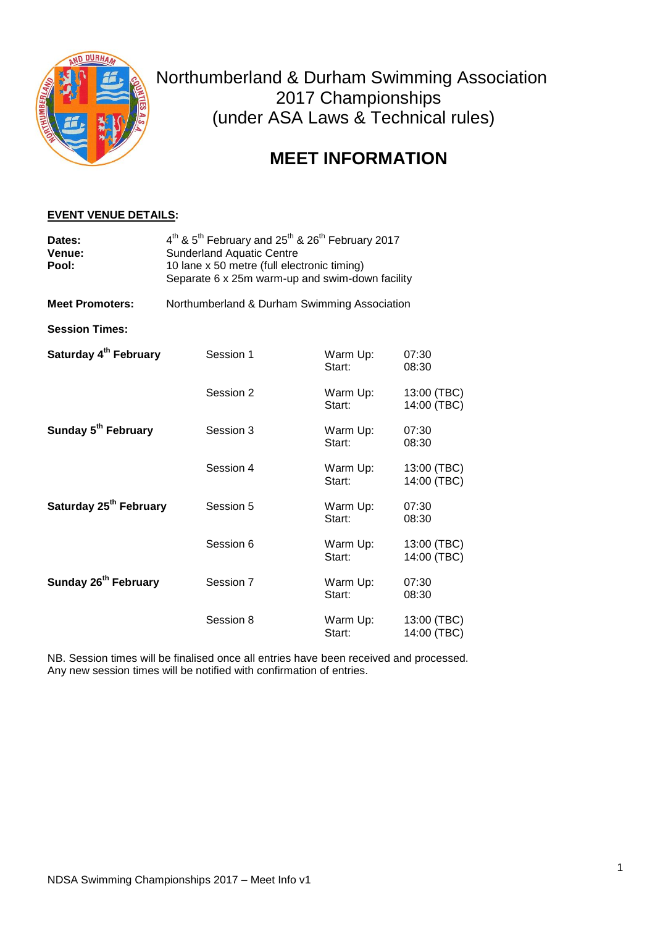

 Northumberland & Durham Swimming Association 2017 Championships (under ASA Laws & Technical rules)

# **MEET INFORMATION**

## **EVENT VENUE DETAILS:**

| Dates:<br>Venue:<br>Pool:          | $4^{th}$ & $5^{th}$ February and $25^{th}$ & $26^{th}$ February 2017<br><b>Sunderland Aquatic Centre</b><br>10 lane x 50 metre (full electronic timing)<br>Separate 6 x 25m warm-up and swim-down facility |                    |                            |  |  |  |
|------------------------------------|------------------------------------------------------------------------------------------------------------------------------------------------------------------------------------------------------------|--------------------|----------------------------|--|--|--|
| <b>Meet Promoters:</b>             | Northumberland & Durham Swimming Association                                                                                                                                                               |                    |                            |  |  |  |
| <b>Session Times:</b>              |                                                                                                                                                                                                            |                    |                            |  |  |  |
| Saturday 4 <sup>th</sup> February  | Session 1                                                                                                                                                                                                  | Warm Up:<br>Start: | 07:30<br>08:30             |  |  |  |
|                                    | Session 2                                                                                                                                                                                                  | Warm Up:<br>Start: | 13:00 (TBC)<br>14:00 (TBC) |  |  |  |
| Sunday 5 <sup>th</sup> February    | Session 3                                                                                                                                                                                                  | Warm Up:<br>Start: | 07:30<br>08:30             |  |  |  |
|                                    | Session 4                                                                                                                                                                                                  | Warm Up:<br>Start: | 13:00 (TBC)<br>14:00 (TBC) |  |  |  |
| Saturday 25 <sup>th</sup> February | Session 5                                                                                                                                                                                                  | Warm Up:<br>Start: | 07:30<br>08:30             |  |  |  |
|                                    | Session 6                                                                                                                                                                                                  | Warm Up:<br>Start: | 13:00 (TBC)<br>14:00 (TBC) |  |  |  |
| Sunday 26 <sup>th</sup> February   | Session 7                                                                                                                                                                                                  | Warm Up:<br>Start: | 07:30<br>08:30             |  |  |  |
|                                    | Session 8                                                                                                                                                                                                  | Warm Up:<br>Start: | 13:00 (TBC)<br>14:00 (TBC) |  |  |  |

NB. Session times will be finalised once all entries have been received and processed. Any new session times will be notified with confirmation of entries.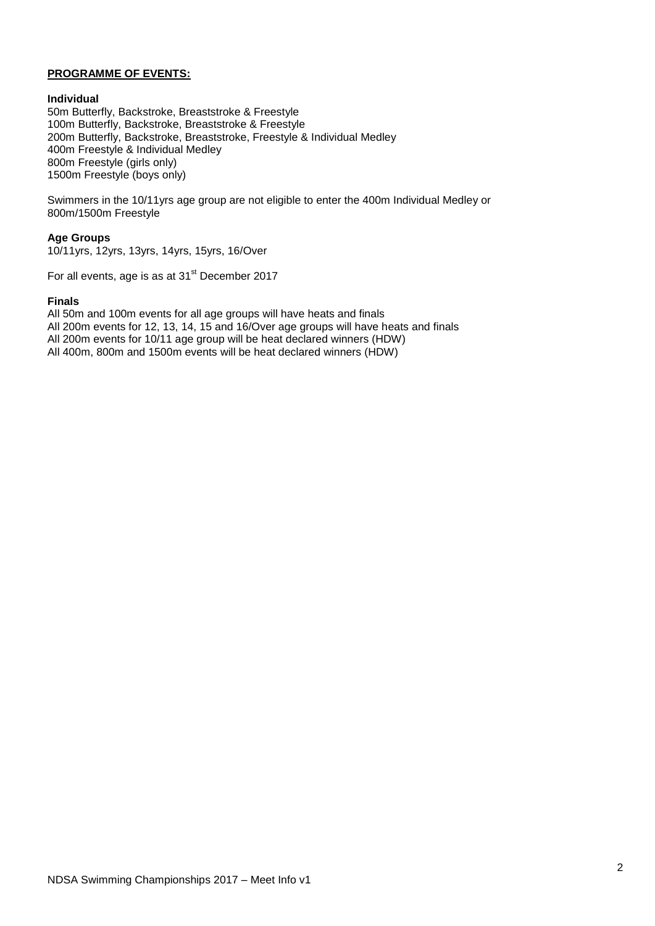#### **PROGRAMME OF EVENTS:**

#### **Individual**

50m Butterfly, Backstroke, Breaststroke & Freestyle 100m Butterfly, Backstroke, Breaststroke & Freestyle 200m Butterfly, Backstroke, Breaststroke, Freestyle & Individual Medley 400m Freestyle & Individual Medley 800m Freestyle (girls only) 1500m Freestyle (boys only)

Swimmers in the 10/11yrs age group are not eligible to enter the 400m Individual Medley or 800m/1500m Freestyle

**Age Groups** 10/11yrs, 12yrs, 13yrs, 14yrs, 15yrs, 16/Over

For all events, age is as at  $31<sup>st</sup>$  December 2017

#### **Finals**

All 50m and 100m events for all age groups will have heats and finals All 200m events for 12, 13, 14, 15 and 16/Over age groups will have heats and finals All 200m events for 10/11 age group will be heat declared winners (HDW) All 400m, 800m and 1500m events will be heat declared winners (HDW)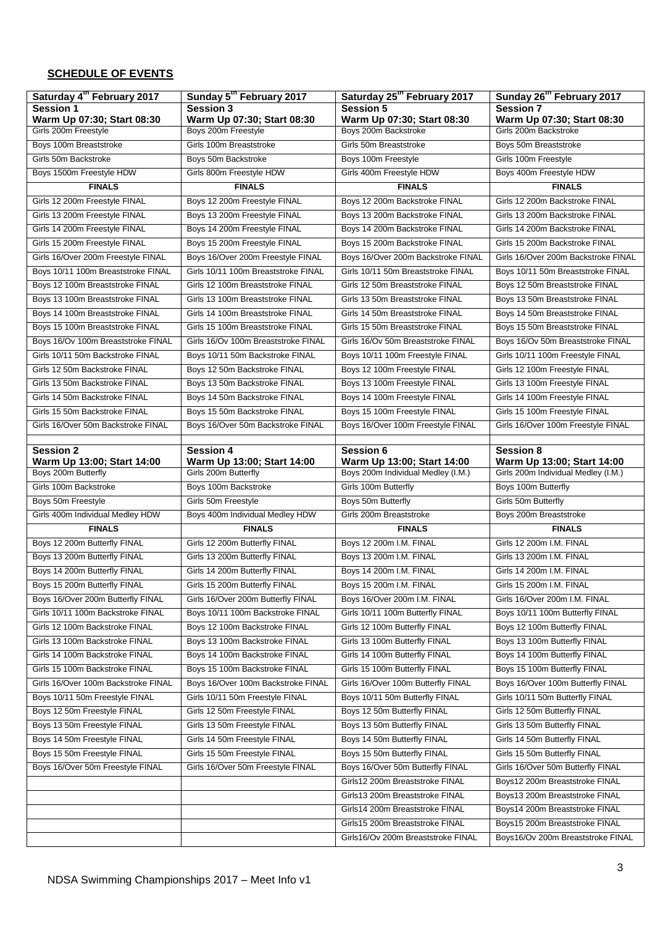# **SCHEDULE OF EVENTS**

| Saturday 4 <sup>th</sup> February 2017 | Sunday 5 <sup>th</sup> February 2017 | Saturday 25 <sup>th</sup> February 2017 | Sunday 26 <sup>th</sup> February 2017 |
|----------------------------------------|--------------------------------------|-----------------------------------------|---------------------------------------|
| <b>Session 1</b>                       | <b>Session 3</b>                     | <b>Session 5</b>                        | Session 7                             |
| Warm Up 07:30; Start 08:30             | Warm Up 07:30; Start 08:30           | Warm Up 07:30; Start 08:30              | Warm Up 07:30; Start 08:30            |
| Girls 200m Freestyle                   | Boys 200m Freestyle                  | Boys 200m Backstroke                    | Girls 200m Backstroke                 |
| Boys 100m Breaststroke                 | Girls 100m Breaststroke              | Girls 50m Breaststroke                  | Boys 50m Breaststroke                 |
| Girls 50m Backstroke                   | Boys 50m Backstroke                  | Boys 100m Freestyle                     | Girls 100m Freestyle                  |
| Boys 1500m Freestyle HDW               | Girls 800m Freestyle HDW             | Girls 400m Freestyle HDW                | Boys 400m Freestyle HDW               |
| <b>FINALS</b>                          | <b>FINALS</b>                        | <b>FINALS</b>                           | <b>FINALS</b>                         |
| Girls 12 200m Freestyle FINAL          | Boys 12 200m Freestyle FINAL         | Boys 12 200m Backstroke FINAL           | Girls 12 200m Backstroke FINAL        |
| Girls 13 200m Freestyle FINAL          | Boys 13 200m Freestyle FINAL         | Boys 13 200m Backstroke FINAL           | Girls 13 200m Backstroke FINAL        |
| Girls 14 200m Freestyle FINAL          | Boys 14 200m Freestyle FINAL         | Boys 14 200m Backstroke FINAL           | Girls 14 200m Backstroke FINAL        |
| Girls 15 200m Freestyle FINAL          | Boys 15 200m Freestyle FINAL         | Boys 15 200m Backstroke FINAL           | Girls 15 200m Backstroke FINAL        |
| Girls 16/Over 200m Freestyle FINAL     | Boys 16/Over 200m Freestyle FINAL    | Boys 16/Over 200m Backstroke FINAL      | Girls 16/Over 200m Backstroke FINAL   |
| Boys 10/11 100m Breaststroke FINAL     | Girls 10/11 100m Breaststroke FINAL  | Girls 10/11 50m Breaststroke FINAL      | Boys 10/11 50m Breaststroke FINAL     |
| Boys 12 100m Breaststroke FINAL        | Girls 12 100m Breaststroke FINAL     | Girls 12 50m Breaststroke FINAL         | Boys 12 50m Breaststroke FINAL        |
| Boys 13 100m Breaststroke FINAL        | Girls 13 100m Breaststroke FINAL     | Girls 13 50m Breaststroke FINAL         | Boys 13 50m Breaststroke FINAL        |
| Boys 14 100m Breaststroke FINAL        | Girls 14 100m Breaststroke FINAL     | Girls 14 50m Breaststroke FINAL         | Boys 14 50m Breaststroke FINAL        |
| Boys 15 100m Breaststroke FINAL        | Girls 15 100m Breaststroke FINAL     | Girls 15 50m Breaststroke FINAL         | Boys 15 50m Breaststroke FINAL        |
| Boys 16/Ov 100m Breaststroke FINAL     | Girls 16/Ov 100m Breaststroke FINAL  | Girls 16/Ov 50m Breaststroke FINAL      | Boys 16/Ov 50m Breaststroke FINAL     |
| Girls 10/11 50m Backstroke FINAL       | Boys 10/11 50m Backstroke FINAL      | Boys 10/11 100m Freestyle FINAL         | Girls 10/11 100m Freestyle FINAL      |
| Girls 12 50m Backstroke FINAL          | Boys 12 50m Backstroke FINAL         | Boys 12 100m Freestyle FINAL            | Girls 12 100m Freestyle FINAL         |
| Girls 13 50m Backstroke FINAL          | Boys 13 50m Backstroke FINAL         | Boys 13 100m Freestyle FINAL            | Girls 13 100m Freestyle FINAL         |
| Girls 14 50m Backstroke FINAL          | Boys 14 50m Backstroke FINAL         | Boys 14 100m Freestyle FINAL            | Girls 14 100m Freestyle FINAL         |
| Girls 15 50m Backstroke FINAL          | Boys 15 50m Backstroke FINAL         | Boys 15 100m Freestyle FINAL            | Girls 15 100m Freestyle FINAL         |
| Girls 16/Over 50m Backstroke FINAL     | Boys 16/Over 50m Backstroke FINAL    | Boys 16/Over 100m Freestyle FINAL       | Girls 16/Over 100m Freestyle FINAL    |
|                                        |                                      |                                         |                                       |
| <b>Session 2</b>                       | <b>Session 4</b>                     | <b>Session 6</b>                        | <b>Session 8</b>                      |
| Warm Up 13:00; Start 14:00             | Warm Up 13:00; Start 14:00           | Warm Up 13:00; Start 14:00              | Warm Up 13:00; Start 14:00            |
| Boys 200m Butterfly                    | Girls 200m Butterfly                 | Boys 200m Individual Medley (I.M.)      | Girls 200m Individual Medley (I.M.)   |
| Girls 100m Backstroke                  | Boys 100m Backstroke                 | Girls 100m Butterfly                    | Boys 100m Butterfly                   |
| Boys 50m Freestyle                     | Girls 50m Freestyle                  | Boys 50m Butterfly                      | Girls 50m Butterfly                   |
| Girls 400m Individual Medley HDW       | Boys 400m Individual Medley HDW      | Girls 200m Breaststroke                 | Boys 200m Breaststroke                |
| <b>FINALS</b>                          | <b>FINALS</b>                        | <b>FINALS</b>                           | <b>FINALS</b>                         |
| Boys 12 200m Butterfly FINAL           | Girls 12 200m Butterfly FINAL        | Boys 12 200m I.M. FINAL                 | Girls 12 200m I.M. FINAL              |
| Boys 13 200m Butterfly FINAL           | Girls 13 200m Butterfly FINAL        | Boys 13 200m I.M. FINAL                 | Girls 13 200m I.M. FINAL              |
| Boys 14 200m Butterfly FINAL           | Girls 14 200m Butterfly FINAL        | Boys 14 200m I.M. FINAL                 | Girls 14 200m I.M. FINAL              |
| Boys 15 200m Butterfly FINAL           | Girls 15 200m Butterfly FINAL        | Boys 15 200m I.M. FINAL                 | Girls 15 200m I.M. FINAL              |
| Boys 16/Over 200m Butterfly FINAL      | Girls 16/Over 200m Butterfly FINAL   | Boys 16/Over 200m I.M. FINAL            | Girls 16/Over 200m I.M. FINAL         |
| Girls 10/11 100m Backstroke FINAL      | Boys 10/11 100m Backstroke FINAL     | Girls 10/11 100m Butterfly FINAL        | Boys 10/11 100m Butterfly FINAL       |
| Girls 12 100m Backstroke FINAL         | Boys 12 100m Backstroke FINAL        | Girls 12 100m Butterfly FINAL           | Boys 12 100m Butterfly FINAL          |
| Girls 13 100m Backstroke FINAL         | Boys 13 100m Backstroke FINAL        | Girls 13 100m Butterfly FINAL           | Boys 13 100m Butterfly FINAL          |
| Girls 14 100m Backstroke FINAL         | Boys 14 100m Backstroke FINAL        | Girls 14 100m Butterfly FINAL           | Boys 14 100m Butterfly FINAL          |
| Girls 15 100m Backstroke FINAL         | Boys 15 100m Backstroke FINAL        | Girls 15 100m Butterfly FINAL           | Boys 15 100m Butterfly FINAL          |
| Girls 16/Over 100m Backstroke FINAL    | Boys 16/Over 100m Backstroke FINAL   | Girls 16/Over 100m Butterfly FINAL      | Boys 16/Over 100m Butterfly FINAL     |
| Boys 10/11 50m Freestyle FINAL         | Girls 10/11 50m Freestyle FINAL      | Boys 10/11 50m Butterfly FINAL          | Girls 10/11 50m Butterfly FINAL       |
| Boys 12 50m Freestyle FINAL            | Girls 12 50m Freestyle FINAL         | Boys 12 50m Butterfly FINAL             | Girls 12 50m Butterfly FINAL          |
| Boys 13 50m Freestyle FINAL            | Girls 13 50m Freestyle FINAL         | Boys 13 50m Butterfly FINAL             | Girls 13 50m Butterfly FINAL          |
| Boys 14 50m Freestyle FINAL            | Girls 14 50m Freestyle FINAL         | Boys 14 50m Butterfly FINAL             | Girls 14 50m Butterfly FINAL          |
| Boys 15 50m Freestyle FINAL            | Girls 15 50m Freestyle FINAL         | Boys 15 50m Butterfly FINAL             | Girls 15 50m Butterfly FINAL          |
| Boys 16/Over 50m Freestyle FINAL       | Girls 16/Over 50m Freestyle FINAL    | Boys 16/Over 50m Butterfly FINAL        | Girls 16/Over 50m Butterfly FINAL     |
|                                        |                                      | Girls12 200m Breaststroke FINAL         | Boys12 200m Breaststroke FINAL        |
|                                        |                                      | Girls13 200m Breaststroke FINAL         | Boys13 200m Breaststroke FINAL        |
|                                        |                                      | Girls14 200m Breaststroke FINAL         | Boys14 200m Breaststroke FINAL        |
|                                        |                                      | Girls15 200m Breaststroke FINAL         | Boys15 200m Breaststroke FINAL        |
|                                        |                                      | Girls16/Ov 200m Breaststroke FINAL      | Boys16/Ov 200m Breaststroke FINAL     |
|                                        |                                      |                                         |                                       |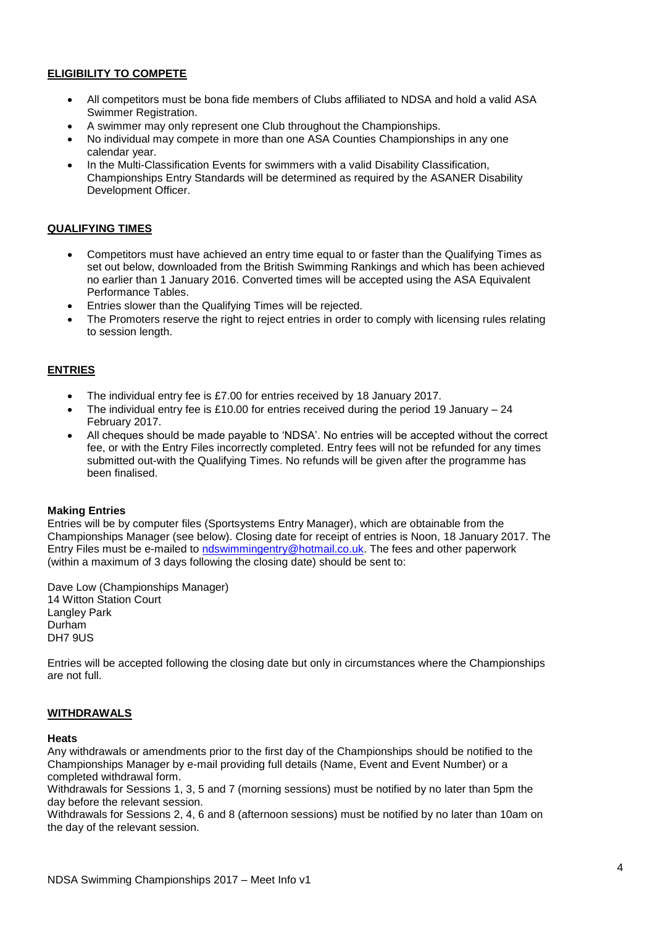## **ELIGIBILITY TO COMPETE**

- All competitors must be bona fide members of Clubs affiliated to NDSA and hold a valid ASA Swimmer Registration.
- A swimmer may only represent one Club throughout the Championships.
- No individual may compete in more than one ASA Counties Championships in any one calendar year.
- In the Multi-Classification Events for swimmers with a valid Disability Classification, Championships Entry Standards will be determined as required by the ASANER Disability Development Officer.

## **QUALIFYING TIMES**

- Competitors must have achieved an entry time equal to or faster than the Qualifying Times as set out below, downloaded from the British Swimming Rankings and which has been achieved no earlier than 1 January 2016. Converted times will be accepted using the ASA Equivalent Performance Tables.
- Entries slower than the Qualifying Times will be rejected.
- The Promoters reserve the right to reject entries in order to comply with licensing rules relating to session length.

## **ENTRIES**

- The individual entry fee is £7.00 for entries received by 18 January 2017.
- The individual entry fee is £10.00 for entries received during the period 19 January 24 February 2017.
- All cheques should be made payable to 'NDSA'. No entries will be accepted without the correct fee, or with the Entry Files incorrectly completed. Entry fees will not be refunded for any times submitted out-with the Qualifying Times. No refunds will be given after the programme has been finalised.

## **Making Entries**

Entries will be by computer files (Sportsystems Entry Manager), which are obtainable from the Championships Manager (see below). Closing date for receipt of entries is Noon, 18 January 2017. The Entry Files must be e-mailed to [ndswimmingentry@hotmail.co.uk.](mailto:ndswimmingentry@hotmail.co.uk) The fees and other paperwork (within a maximum of 3 days following the closing date) should be sent to:

Dave Low (Championships Manager) 14 Witton Station Court Langley Park Durham DH7 9US

Entries will be accepted following the closing date but only in circumstances where the Championships are not full.

#### **WITHDRAWALS**

#### **Heats**

Any withdrawals or amendments prior to the first day of the Championships should be notified to the Championships Manager by e-mail providing full details (Name, Event and Event Number) or a completed withdrawal form.

Withdrawals for Sessions 1, 3, 5 and 7 (morning sessions) must be notified by no later than 5pm the day before the relevant session.

Withdrawals for Sessions 2, 4, 6 and 8 (afternoon sessions) must be notified by no later than 10am on the day of the relevant session.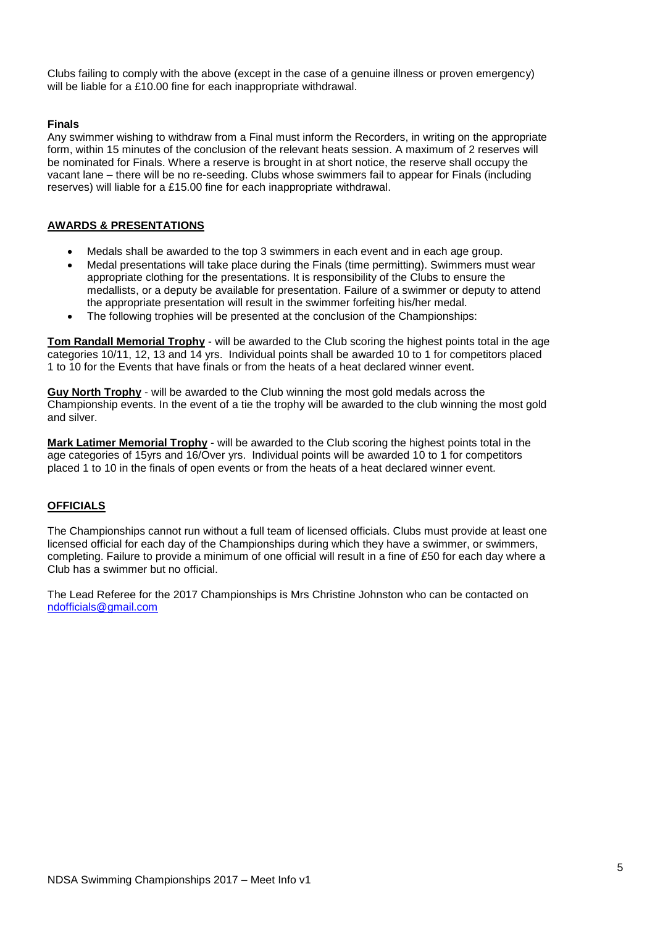Clubs failing to comply with the above (except in the case of a genuine illness or proven emergency) will be liable for a £10.00 fine for each inappropriate withdrawal.

## **Finals**

Any swimmer wishing to withdraw from a Final must inform the Recorders, in writing on the appropriate form, within 15 minutes of the conclusion of the relevant heats session. A maximum of 2 reserves will be nominated for Finals. Where a reserve is brought in at short notice, the reserve shall occupy the vacant lane – there will be no re-seeding. Clubs whose swimmers fail to appear for Finals (including reserves) will liable for a £15.00 fine for each inappropriate withdrawal.

## **AWARDS & PRESENTATIONS**

- Medals shall be awarded to the top 3 swimmers in each event and in each age group.
- Medal presentations will take place during the Finals (time permitting). Swimmers must wear appropriate clothing for the presentations. It is responsibility of the Clubs to ensure the medallists, or a deputy be available for presentation. Failure of a swimmer or deputy to attend the appropriate presentation will result in the swimmer forfeiting his/her medal.
- The following trophies will be presented at the conclusion of the Championships:

**Tom Randall Memorial Trophy** - will be awarded to the Club scoring the highest points total in the age categories 10/11, 12, 13 and 14 yrs. Individual points shall be awarded 10 to 1 for competitors placed 1 to 10 for the Events that have finals or from the heats of a heat declared winner event.

**Guy North Trophy** - will be awarded to the Club winning the most gold medals across the Championship events. In the event of a tie the trophy will be awarded to the club winning the most gold and silver.

**Mark Latimer Memorial Trophy** - will be awarded to the Club scoring the highest points total in the age categories of 15yrs and 16/Over yrs. Individual points will be awarded 10 to 1 for competitors placed 1 to 10 in the finals of open events or from the heats of a heat declared winner event.

## **OFFICIALS**

The Championships cannot run without a full team of licensed officials. Clubs must provide at least one licensed official for each day of the Championships during which they have a swimmer, or swimmers, completing. Failure to provide a minimum of one official will result in a fine of £50 for each day where a Club has a swimmer but no official.

The Lead Referee for the 2017 Championships is Mrs Christine Johnston who can be contacted on [ndofficials@gmail.com](mailto:ndofficials@gmail.com)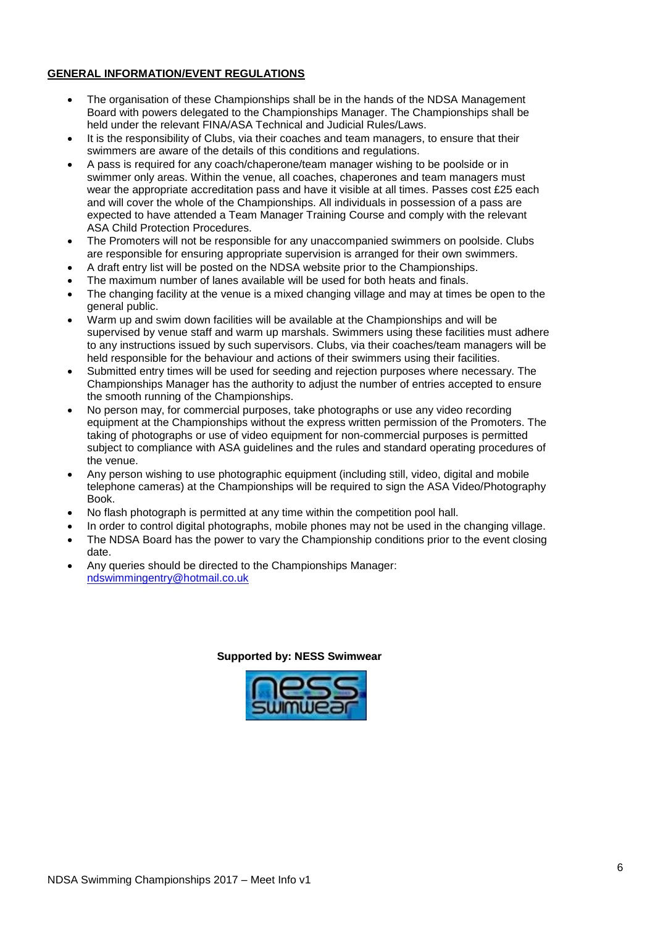## **GENERAL INFORMATION/EVENT REGULATIONS**

- The organisation of these Championships shall be in the hands of the NDSA Management Board with powers delegated to the Championships Manager. The Championships shall be held under the relevant FINA/ASA Technical and Judicial Rules/Laws.
- It is the responsibility of Clubs, via their coaches and team managers, to ensure that their swimmers are aware of the details of this conditions and regulations.
- A pass is required for any coach/chaperone/team manager wishing to be poolside or in swimmer only areas. Within the venue, all coaches, chaperones and team managers must wear the appropriate accreditation pass and have it visible at all times. Passes cost £25 each and will cover the whole of the Championships. All individuals in possession of a pass are expected to have attended a Team Manager Training Course and comply with the relevant ASA Child Protection Procedures.
- The Promoters will not be responsible for any unaccompanied swimmers on poolside. Clubs are responsible for ensuring appropriate supervision is arranged for their own swimmers.
- A draft entry list will be posted on the NDSA website prior to the Championships.
- The maximum number of lanes available will be used for both heats and finals.
- The changing facility at the venue is a mixed changing village and may at times be open to the general public.
- Warm up and swim down facilities will be available at the Championships and will be supervised by venue staff and warm up marshals. Swimmers using these facilities must adhere to any instructions issued by such supervisors. Clubs, via their coaches/team managers will be held responsible for the behaviour and actions of their swimmers using their facilities.
- Submitted entry times will be used for seeding and rejection purposes where necessary. The Championships Manager has the authority to adjust the number of entries accepted to ensure the smooth running of the Championships.
- No person may, for commercial purposes, take photographs or use any video recording equipment at the Championships without the express written permission of the Promoters. The taking of photographs or use of video equipment for non-commercial purposes is permitted subject to compliance with ASA guidelines and the rules and standard operating procedures of the venue.
- Any person wishing to use photographic equipment (including still, video, digital and mobile telephone cameras) at the Championships will be required to sign the ASA Video/Photography Book.
- No flash photograph is permitted at any time within the competition pool hall.
- In order to control digital photographs, mobile phones may not be used in the changing village.
- The NDSA Board has the power to vary the Championship conditions prior to the event closing date.
- Any queries should be directed to the Championships Manager: [ndswimmingentry@hotmail.co.uk](mailto:ndswimmingentry@hotmail.co.uk)

#### **Supported by: NESS Swimwear**